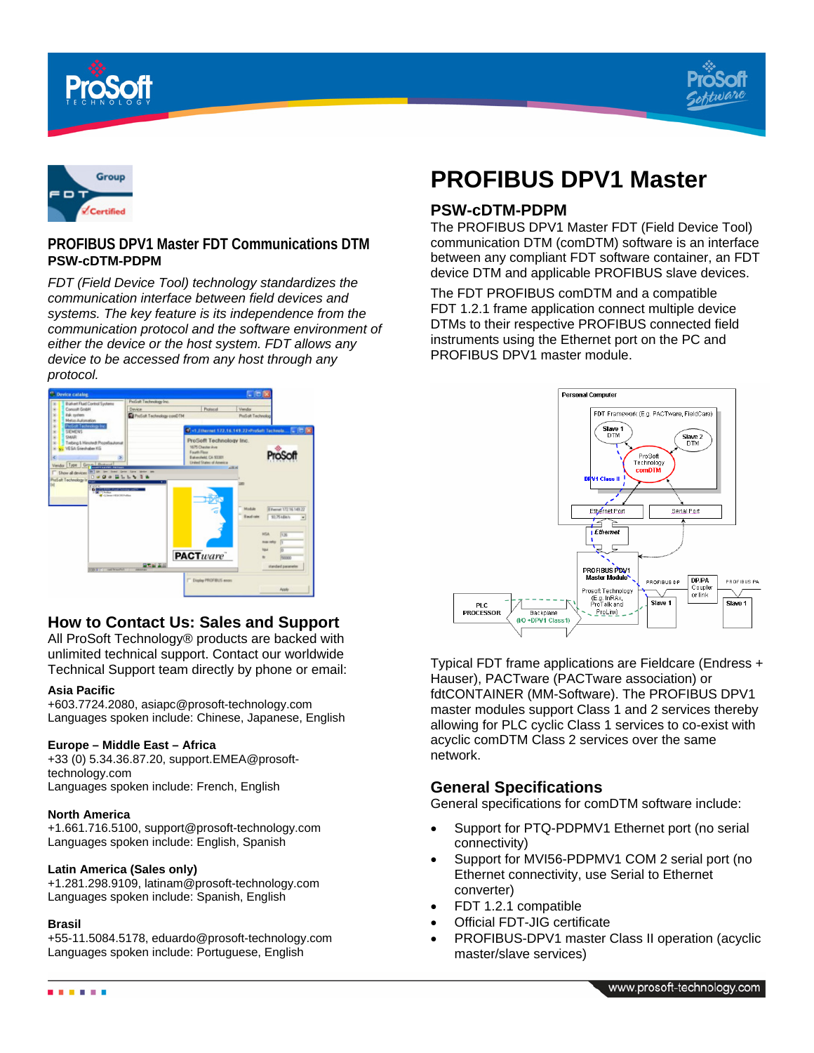





## **PROFIBUS DPV1 Master FDT Communications DTM PSW-cDTM-PDPM**

*FDT (Field Device Tool) technology standardizes the communication interface between field devices and systems. The key feature is its independence from the communication protocol and the software environment of either the device or the host system. FDT allows any device to be accessed from any host through any protocol.*



# **How to Contact Us: Sales and Support**

All ProSoft Technology® products are backed with unlimited technical support. Contact our worldwide Technical Support team directly by phone or email:

#### **Asia Pacific**

+603.7724.2080, asiapc@prosoft-technology.com Languages spoken include: Chinese, Japanese, English

## **Europe – Middle East – Africa**

+33 (0) 5.34.36.87.20, support.EMEA@prosofttechnology.com Languages spoken include: French, English

#### **North America**

+1.661.716.5100, support@prosoft-technology.com Languages spoken include: English, Spanish

#### **Latin America (Sales only)**

+1.281.298.9109, latinam@prosoft-technology.com Languages spoken include: Spanish, English

#### **Brasil**

+55-11.5084.5178, eduardo@prosoft-technology.com Languages spoken include: Portuguese, English

# **PROFIBUS DPV1 Master**

## **PSW-cDTM-PDPM**

The PROFIBUS DPV1 Master FDT (Field Device Tool) communication DTM (comDTM) software is an interface between any compliant FDT software container, an FDT device DTM and applicable PROFIBUS slave devices.

The FDT PROFIBUS comDTM and a compatible FDT 1.2.1 frame application connect multiple device DTMs to their respective PROFIBUS connected field instruments using the Ethernet port on the PC and PROFIBUS DPV1 master module.



Typical FDT frame applications are Fieldcare (Endress + Hauser), PACTware (PACTware association) or fdtCONTAINER (MM-Software). The PROFIBUS DPV1 master modules support Class 1 and 2 services thereby allowing for PLC cyclic Class 1 services to co-exist with acyclic comDTM Class 2 services over the same network.

## **General Specifications**

General specifications for comDTM software include:

- Support for PTQ-PDPMV1 Ethernet port (no serial connectivity)
- Support for MVI56-PDPMV1 COM 2 serial port (no Ethernet connectivity, use Serial to Ethernet converter)
- FDT 1.2.1 compatible
- Official FDT-JIG certificate
- PROFIBUS-DPV1 master Class II operation (acyclic master/slave services)